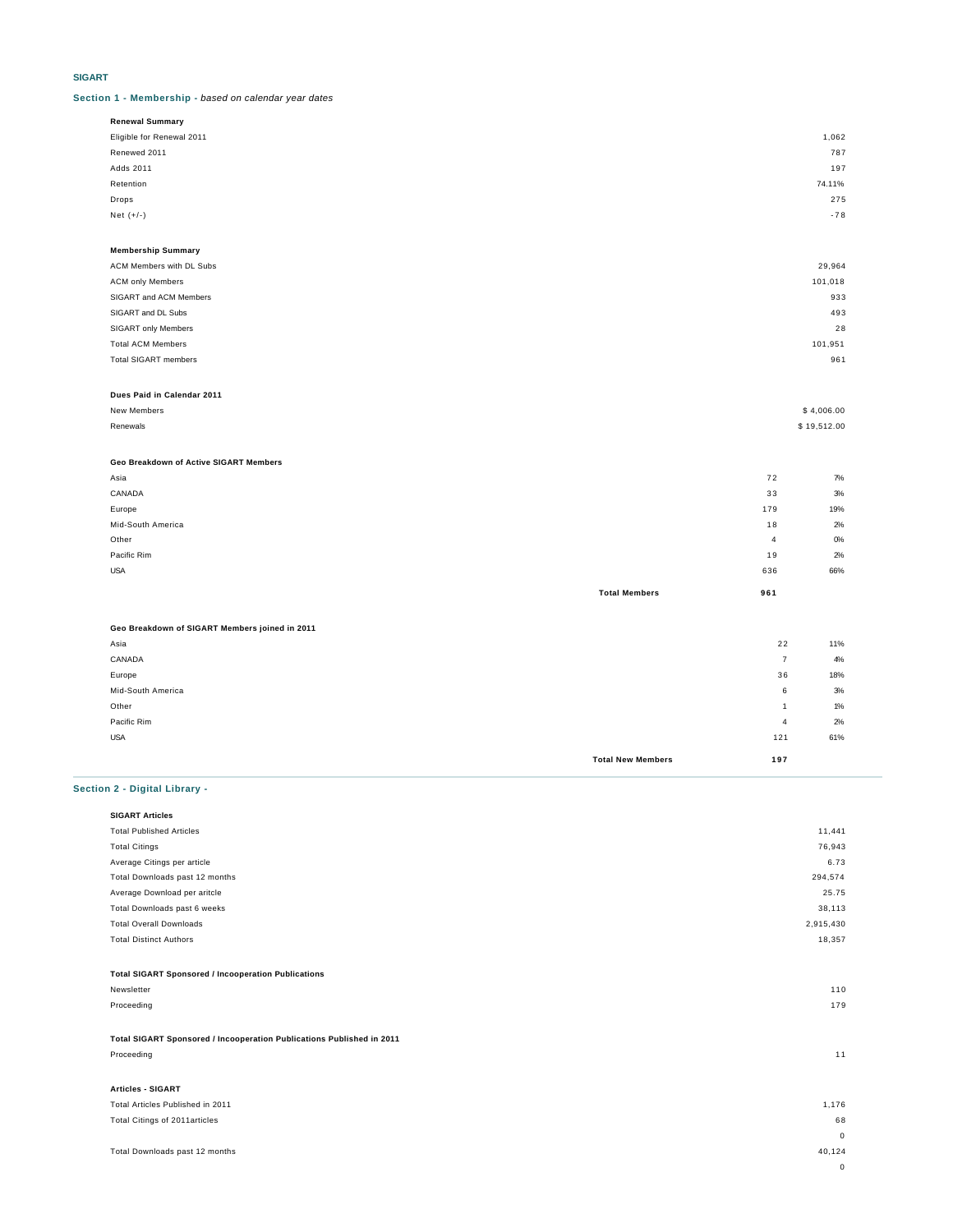# **SIGART**

**Section 1 - Membership -** based on calendar year dates

| <b>Renewal Summary</b>    |        |
|---------------------------|--------|
| Eligible for Renewal 2011 | 1,062  |
| Renewed 2011              | 787    |
| Adds 2011                 | 197    |
| Retention                 | 74.11% |
| Drops                     | 275    |
| Net $(+/-)$               | $-78$  |
|                           |        |

| <b>Membership Summary</b>   |         |
|-----------------------------|---------|
| ACM Members with DL Subs    | 29,964  |
| <b>ACM only Members</b>     | 101,018 |
| SIGART and ACM Members      | 933     |
| SIGART and DL Subs          | 493     |
| SIGART only Members         | 28      |
| <b>Total ACM Members</b>    | 101,951 |
| <b>Total SIGART members</b> | 961     |
|                             |         |

### **Dues Paid in Calendar 2011**

| New Members   | \$4,006.00  |
|---------------|-------------|
| Renewals<br>. | \$19,512.00 |

### **Geo Breakdown of Active SIGART Members**

| Asia              |                      | 72  | 7%    |
|-------------------|----------------------|-----|-------|
| CANADA            |                      | 33  | 3%    |
| Europe            |                      | 179 | 19%   |
| Mid-South America |                      | 18  | 2%    |
| Other             |                      | 4   | $O\%$ |
| Pacific Rim       |                      | 19  | 2%    |
| <b>USA</b>        |                      | 636 | 66%   |
|                   | <b>Total Members</b> | 961 |       |

# **Geo Breakdown of SIGART Members joined in 2011** Asia 2 2 11%

| CANADA            |                          | 7   | 4%  |
|-------------------|--------------------------|-----|-----|
| Europe            |                          | 36  | 18% |
| Mid-South America |                          | 6   | 3%  |
| Other             |                          |     | 1%  |
| Pacific Rim       |                          | 4   | 2%  |
| <b>USA</b>        |                          | 121 | 61% |
|                   | <b>Total New Members</b> | 197 |     |

# **Section 2 - Digital Library -**

| <b>SIGART Articles</b>                                                |             |
|-----------------------------------------------------------------------|-------------|
| <b>Total Published Articles</b>                                       | 11,441      |
| <b>Total Citings</b>                                                  | 76,943      |
| Average Citings per article                                           | 6.73        |
| Total Downloads past 12 months                                        | 294,574     |
| Average Download per aritcle                                          | 25.75       |
| Total Downloads past 6 weeks                                          | 38,113      |
| <b>Total Overall Downloads</b>                                        | 2,915,430   |
| <b>Total Distinct Authors</b>                                         | 18,357      |
|                                                                       |             |
| <b>Total SIGART Sponsored / Incooperation Publications</b>            |             |
| Newsletter                                                            | 110         |
| Proceeding                                                            | 179         |
|                                                                       |             |
| Total SIGART Sponsored / Incooperation Publications Published in 2011 |             |
| Proceeding                                                            | 11          |
|                                                                       |             |
| <b>Articles - SIGART</b>                                              |             |
| Total Articles Published in 2011                                      | 1,176       |
| Total Citings of 2011 articles                                        | 68          |
|                                                                       | $\mathbf 0$ |

0

Total Downloads past 12 months 40,124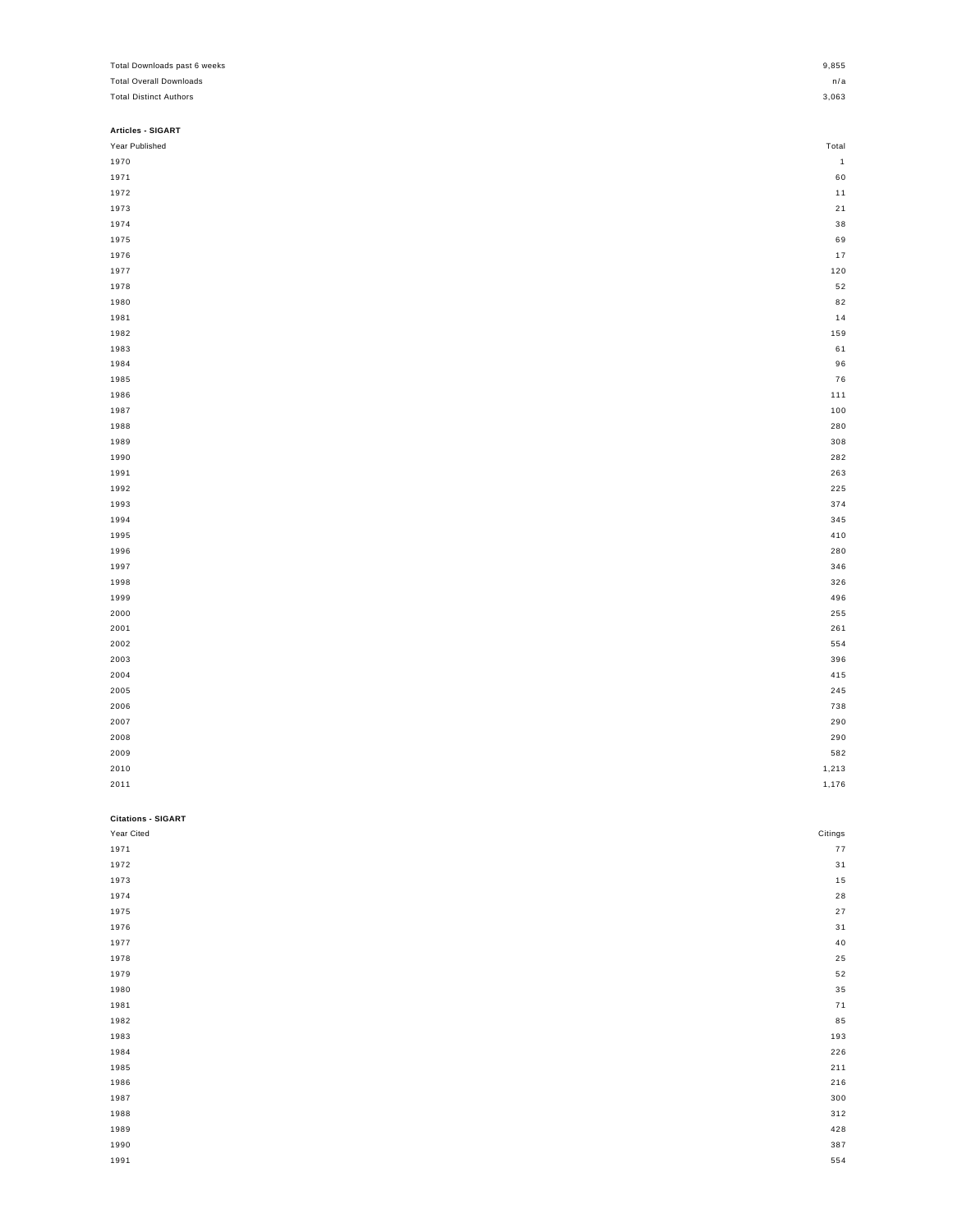| Total Downloads past 6 weeks   | 9,855        |
|--------------------------------|--------------|
| <b>Total Overall Downloads</b> | n/a          |
| <b>Total Distinct Authors</b>  | 3,063        |
|                                |              |
| Articles - SIGART              |              |
| Year Published                 | Total        |
| 1970                           | $\mathbf{1}$ |
| 1971                           | 60           |
| 1972                           | 11           |
| 1973                           | 21           |
| 1974                           | 38           |
| 1975                           | 69           |
| 1976                           | $17$         |
| 1977                           | 120          |
| 1978                           | 52           |
| 1980                           | 82           |
| 1981                           | $14$         |
| 1982                           | 159          |
| 1983                           | 61           |
| 1984                           | 96           |
| 1985                           | 76           |
| 1986                           | 111          |
| 1987                           | 100          |
| 1988                           | 280          |
| 1989                           | 308          |
| 1990                           | 282          |
| 1991                           | 263          |
| 1992                           | 225          |
| 1993                           | 374          |
| 1994                           | 345          |
| 1995                           | 410          |
| 1996                           | 280          |
| 1997                           | 346          |
|                                |              |
| 1998<br>1999                   | 326<br>496   |
|                                |              |
| 2000                           | 255          |
| 2001                           | 261<br>554   |
| 2002                           |              |
| 2003                           | 396          |
| 2004                           | 415<br>245   |
| 2005<br>2006                   | 738          |
|                                |              |
| 2007                           | 290          |
| 2008                           | 290          |
| 2009                           | 582          |
| 2010                           | 1,213        |
| 2011                           | 1,176        |
|                                |              |
| <b>Citations - SIGART</b>      |              |
| Year Cited                     | Citings      |
| 1971                           | ${\bf 77}$   |
| 1972                           | 31           |
| 1973                           | 15           |
| 1974                           | ${\bf 28}$   |
| 1975                           | 27           |
| 1976                           | 31           |
| 1977                           | 40           |
| 1978                           | 25           |
| 1979                           | 52           |
| 1980                           | $3\,5$       |
| 1981                           | 71           |
| 1982                           | 85           |
| 1983                           | 193          |
| 1984                           | 226          |
| 1985                           | 211          |
| 1986                           | 216          |
| 1987                           | 300          |
| 1988                           | 312          |
| 1989                           | 428          |
| 1990                           | 387          |
| 1991                           | 554          |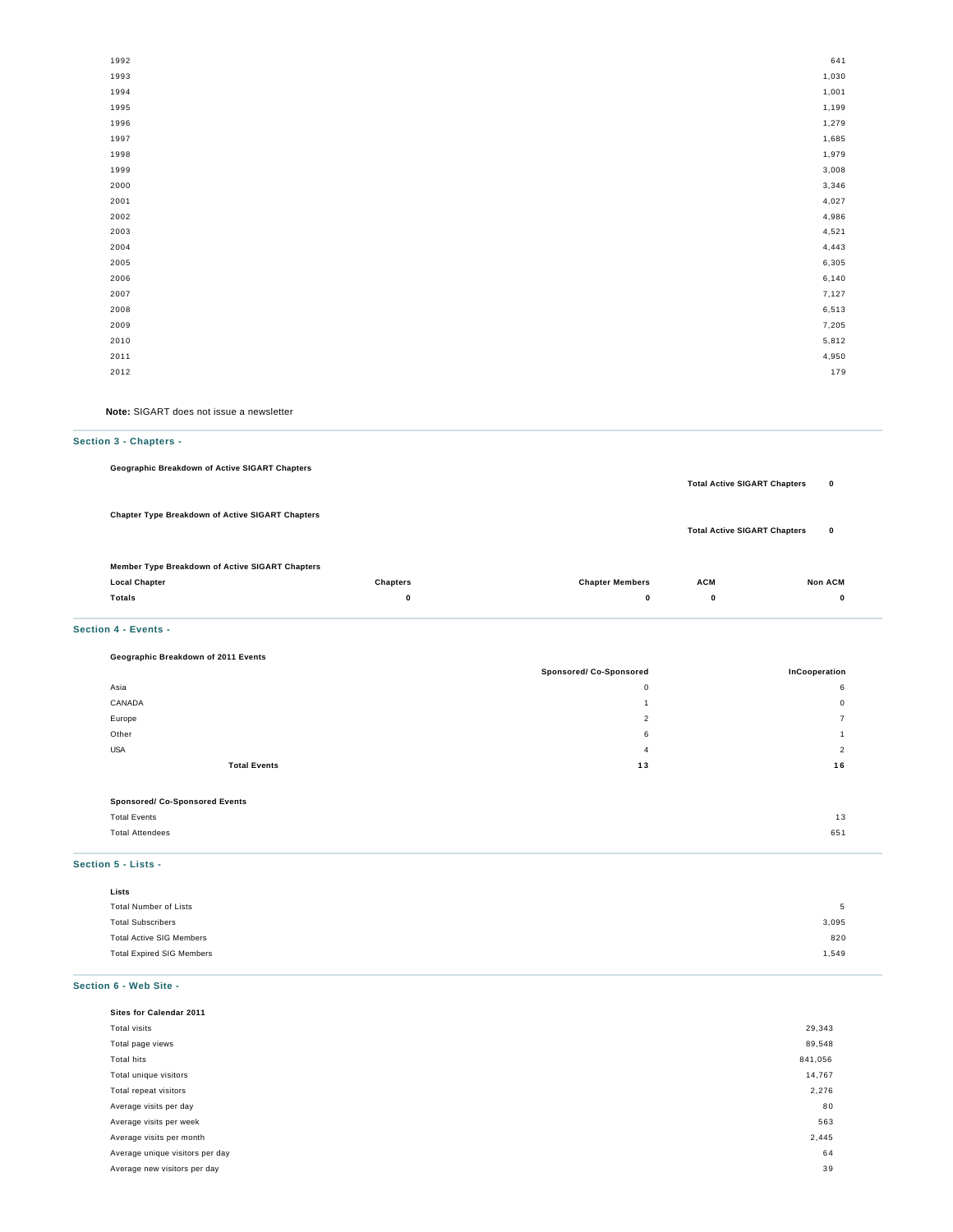| 1992 | 641   |
|------|-------|
| 1993 | 1,030 |
| 1994 | 1,001 |
| 1995 | 1,199 |
| 1996 | 1,279 |
| 1997 | 1,685 |
| 1998 | 1,979 |
| 1999 | 3,008 |
| 2000 | 3,346 |
| 2001 | 4,027 |
| 2002 | 4,986 |
| 2003 | 4,521 |
| 2004 | 4,443 |
| 2005 | 6,305 |
| 2006 | 6,140 |
| 2007 | 7,127 |
| 2008 | 6,513 |
| 2009 | 7,205 |
| 2010 | 5,812 |
| 2011 | 4,950 |
| 2012 | 179   |
|      |       |

**Note:** SIGART does not issue a newsletter

### **Section 3 - Chapters -**

**Geographic Breakdown of Active SIGART Chapters**

**Chapter Type Breakdown of Active SIGART Chapters**

**Total Active SIGART Chapters 0**

**Total Active SIGART Chapters 0**

| Member Type Breakdown of Active SIGART Chapters |  |
|-------------------------------------------------|--|
|                                                 |  |

| <b>Local Chapter</b> | <b>Chapters</b> | <b>Chapter Members</b> | <b>ACM</b> | <b>Non ACM</b><br>the contract of the contract of the contract of |
|----------------------|-----------------|------------------------|------------|-------------------------------------------------------------------|
| Totals<br>.          |                 |                        |            |                                                                   |
|                      |                 |                        |            |                                                                   |

### **Section 4 - Events -**

# **Geographic Breakdown of 2011 Events**

|                                       | <b>Sponsored/ Co-Sponsored</b> | InCooperation  |
|---------------------------------------|--------------------------------|----------------|
| Asia                                  | 0                              | 6              |
| CANADA                                |                                | $\mathbf{0}$   |
| Europe                                | $\overline{2}$                 | $\overline{ }$ |
| Other                                 | 6                              |                |
| <b>USA</b>                            | 4                              | $\overline{2}$ |
| <b>Total Events</b>                   | 13                             | 16             |
|                                       |                                |                |
| <b>Sponsored/ Co-Sponsored Events</b> |                                |                |

| <b>Total Events</b>    | $\sim$ |
|------------------------|--------|
|                        | . ب    |
| <b>Total Attendees</b> | 651    |
|                        |        |
|                        |        |

# **Section 5 - Lists -**

| Lists                            |       |
|----------------------------------|-------|
| <b>Total Number of Lists</b>     | -5    |
| <b>Total Subscribers</b>         | 3,095 |
| <b>Total Active SIG Members</b>  | 820   |
| <b>Total Expired SIG Members</b> | 1,549 |

### **Section 6 - Web Site -**

|              | Sites for Calendar 2011         |         |
|--------------|---------------------------------|---------|
| Total visits |                                 | 29,343  |
|              | Total page views                | 89,548  |
| Total hits   |                                 | 841,056 |
|              | Total unique visitors           | 14,767  |
|              | Total repeat visitors           | 2,276   |
|              | Average visits per day          | 80      |
|              | Average visits per week         | 563     |
|              | Average visits per month        | 2,445   |
|              | Average unique visitors per day | 64      |
|              | Average new visitors per day    | 39      |
|              |                                 |         |